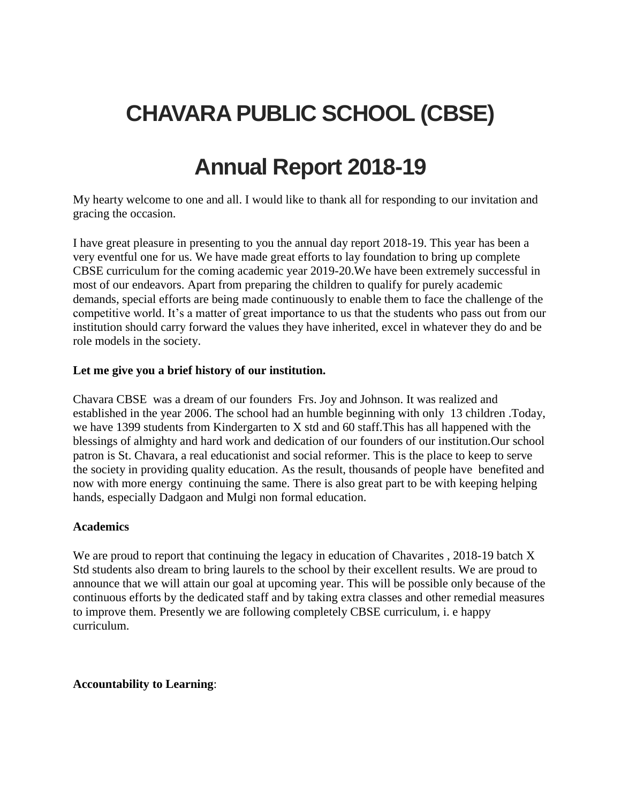# **CHAVARA PUBLIC SCHOOL (CBSE)**

## **Annual Report 2018-19**

My hearty welcome to one and all. I would like to thank all for responding to our invitation and gracing the occasion.

I have great pleasure in presenting to you the annual day report 2018-19. This year has been a very eventful one for us. We have made great efforts to lay foundation to bring up complete CBSE curriculum for the coming academic year 2019-20.We have been extremely successful in most of our endeavors. Apart from preparing the children to qualify for purely academic demands, special efforts are being made continuously to enable them to face the challenge of the competitive world. It's a matter of great importance to us that the students who pass out from our institution should carry forward the values they have inherited, excel in whatever they do and be role models in the society.

#### **Let me give you a brief history of our institution.**

Chavara CBSE was a dream of our founders Frs. Joy and Johnson. It was realized and established in the year 2006. The school had an humble beginning with only 13 children .Today, we have 1399 students from Kindergarten to X std and 60 staff.This has all happened with the blessings of almighty and hard work and dedication of our founders of our institution.Our school patron is St. Chavara, a real educationist and social reformer. This is the place to keep to serve the society in providing quality education. As the result, thousands of people have benefited and now with more energy continuing the same. There is also great part to be with keeping helping hands, especially Dadgaon and Mulgi non formal education.

#### **Academics**

We are proud to report that continuing the legacy in education of Chavarites , 2018-19 batch X Std students also dream to bring laurels to the school by their excellent results. We are proud to announce that we will attain our goal at upcoming year. This will be possible only because of the continuous efforts by the dedicated staff and by taking extra classes and other remedial measures to improve them. Presently we are following completely CBSE curriculum, i. e happy curriculum.

#### **Accountability to Learning**: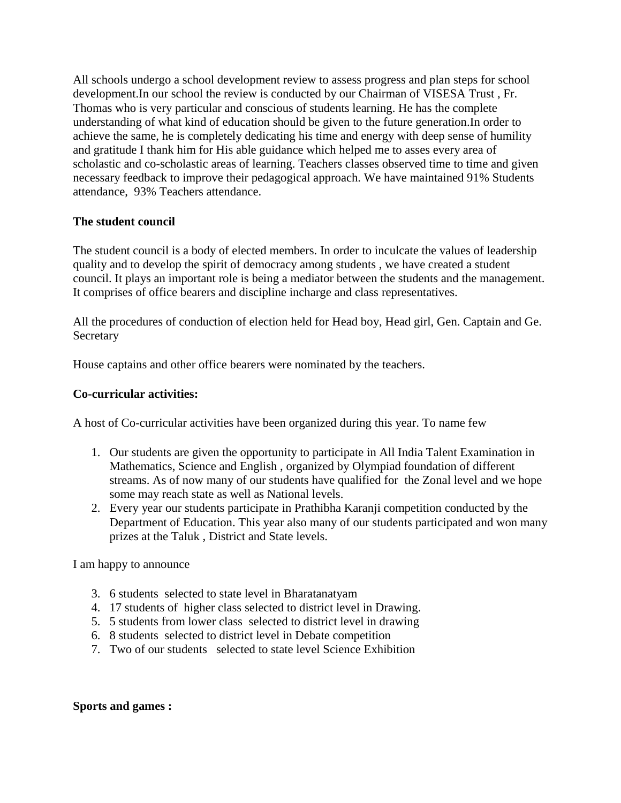All schools undergo a school development review to assess progress and plan steps for school development.In our school the review is conducted by our Chairman of VISESA Trust , Fr. Thomas who is very particular and conscious of students learning. He has the complete understanding of what kind of education should be given to the future generation.In order to achieve the same, he is completely dedicating his time and energy with deep sense of humility and gratitude I thank him for His able guidance which helped me to asses every area of scholastic and co-scholastic areas of learning. Teachers classes observed time to time and given necessary feedback to improve their pedagogical approach. We have maintained 91% Students attendance, 93% Teachers attendance.

#### **The student council**

The student council is a body of elected members. In order to inculcate the values of leadership quality and to develop the spirit of democracy among students , we have created a student council. It plays an important role is being a mediator between the students and the management. It comprises of office bearers and discipline incharge and class representatives.

All the procedures of conduction of election held for Head boy, Head girl, Gen. Captain and Ge. **Secretary** 

House captains and other office bearers were nominated by the teachers.

#### **Co-curricular activities:**

A host of Co-curricular activities have been organized during this year. To name few

- 1. Our students are given the opportunity to participate in All India Talent Examination in Mathematics, Science and English , organized by Olympiad foundation of different streams. As of now many of our students have qualified for the Zonal level and we hope some may reach state as well as National levels.
- 2. Every year our students participate in Prathibha Karanji competition conducted by the Department of Education. This year also many of our students participated and won many prizes at the Taluk , District and State levels.

I am happy to announce

- 3. 6 students selected to state level in Bharatanatyam
- 4. 17 students of higher class selected to district level in Drawing.
- 5. 5 students from lower class selected to district level in drawing
- 6. 8 students selected to district level in Debate competition
- 7. Two of our students selected to state level Science Exhibition

#### **Sports and games :**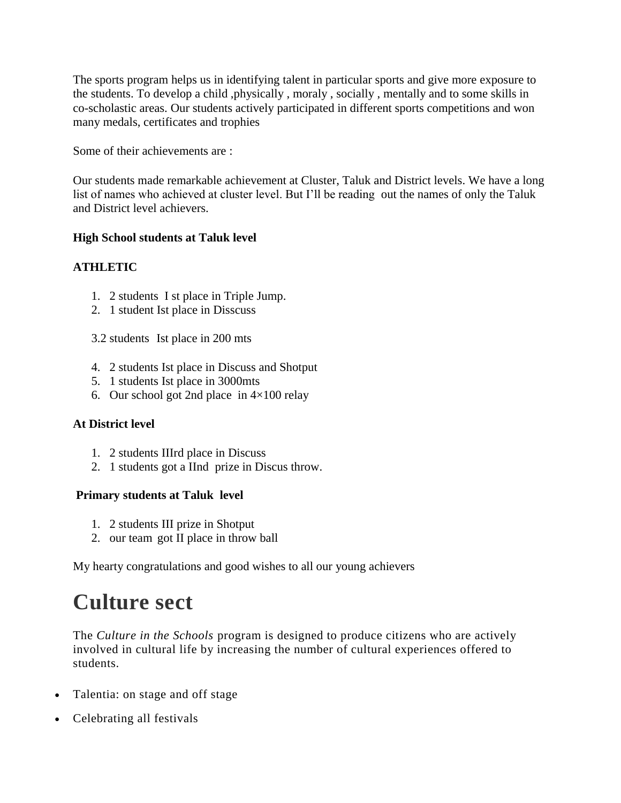The sports program helps us in identifying talent in particular sports and give more exposure to the students. To develop a child ,physically , moraly , socially , mentally and to some skills in co-scholastic areas. Our students actively participated in different sports competitions and won many medals, certificates and trophies

Some of their achievements are :

Our students made remarkable achievement at Cluster, Taluk and District levels. We have a long list of names who achieved at cluster level. But I'll be reading out the names of only the Taluk and District level achievers.

#### **High School students at Taluk level**

#### **ATHLETIC**

- 1. 2 students I st place in Triple Jump.
- 2. 1 student Ist place in Disscuss
- 3.2 students Ist place in 200 mts
- 4. 2 students Ist place in Discuss and Shotput
- 5. 1 students Ist place in 3000mts
- 6. Our school got 2nd place in  $4\times100$  relay

#### **At District level**

- 1. 2 students IIIrd place in Discuss
- 2. 1 students got a IInd prize in Discus throw.

#### **Primary students at Taluk level**

- 1. 2 students III prize in Shotput
- 2. our team got II place in throw ball

My hearty congratulations and good wishes to all our young achievers

## **Culture sect**

The *Culture in the Schools* program is designed to produce citizens who are actively involved in cultural life by increasing the number of cultural experiences offered to students.

- Talentia: on stage and off stage
- Celebrating all festivals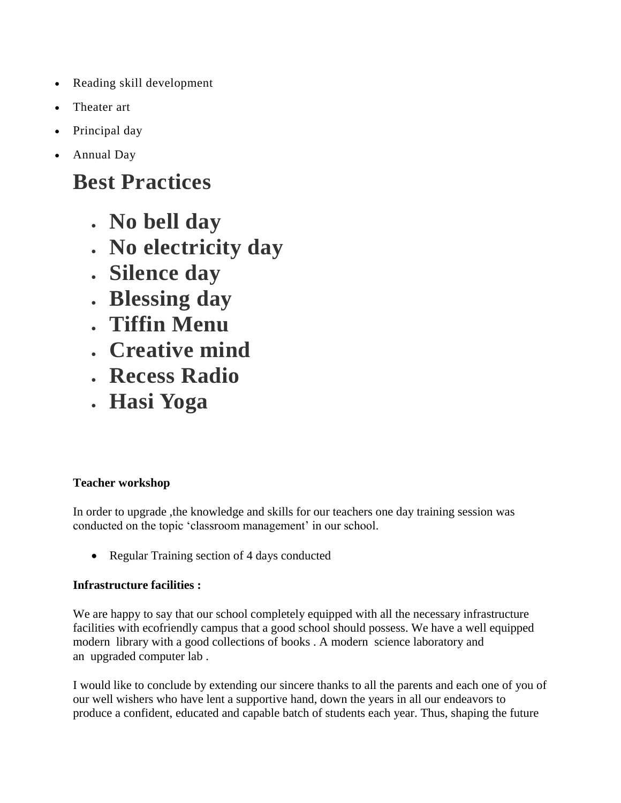- Reading skill development
- Theater art
- Principal day
- Annual Day

## **Best Practices**

- **No bell day**
- **No electricity day**
- **Silence day**
- **Blessing day**
- **Tiffin Menu**
- **Creative mind**
- **Recess Radio**
- **Hasi Yoga**

## **Teacher workshop**

In order to upgrade ,the knowledge and skills for our teachers one day training session was conducted on the topic 'classroom management' in our school.

• Regular Training section of 4 days conducted

### **Infrastructure facilities :**

We are happy to say that our school completely equipped with all the necessary infrastructure facilities with ecofriendly campus that a good school should possess. We have a well equipped modern library with a good collections of books . A modern science laboratory and an upgraded computer lab .

I would like to conclude by extending our sincere thanks to all the parents and each one of you of our well wishers who have lent a supportive hand, down the years in all our endeavors to produce a confident, educated and capable batch of students each year. Thus, shaping the future